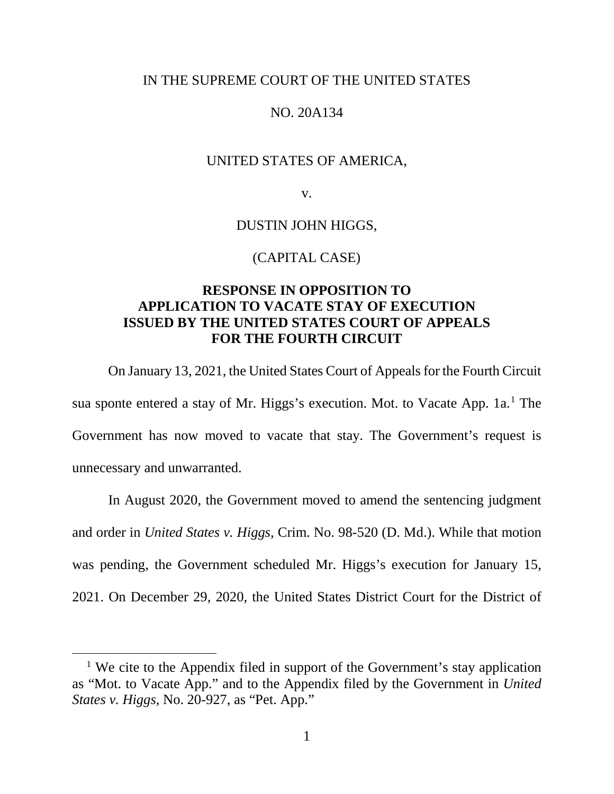### IN THE SUPREME COURT OF THE UNITED STATES

## NO. 20A134

## UNITED STATES OF AMERICA,

v.

DUSTIN JOHN HIGGS,

#### (CAPITAL CASE)

# **RESPONSE IN OPPOSITION TO APPLICATION TO VACATE STAY OF EXECUTION ISSUED BY THE UNITED STATES COURT OF APPEALS FOR THE FOURTH CIRCUIT**

On January 13, 2021, the United States Court of Appeals for the Fourth Circuit sua sponte entered a stay of Mr. Higgs's execution. Mot. to Vacate App. [1](#page-0-0)a.<sup>1</sup> The Government has now moved to vacate that stay. The Government's request is unnecessary and unwarranted.

In August 2020, the Government moved to amend the sentencing judgment and order in *United States v. Higgs*, Crim. No. 98-520 (D. Md.). While that motion was pending, the Government scheduled Mr. Higgs's execution for January 15, 2021. On December 29, 2020, the United States District Court for the District of

<span id="page-0-0"></span><sup>&</sup>lt;sup>1</sup> We cite to the Appendix filed in support of the Government's stay application as "Mot. to Vacate App." and to the Appendix filed by the Government in *United States v. Higgs*, No. 20-927, as "Pet. App."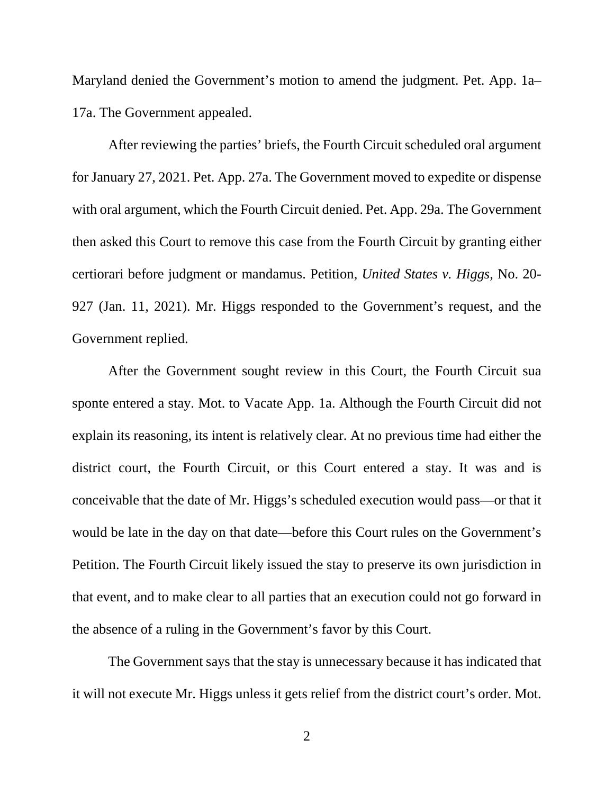Maryland denied the Government's motion to amend the judgment. Pet. App. 1a– 17a. The Government appealed.

After reviewing the parties' briefs, the Fourth Circuit scheduled oral argument for January 27, 2021. Pet. App. 27a. The Government moved to expedite or dispense with oral argument, which the Fourth Circuit denied. Pet. App. 29a. The Government then asked this Court to remove this case from the Fourth Circuit by granting either certiorari before judgment or mandamus. Petition, *United States v. Higgs*, No. 20- 927 (Jan. 11, 2021). Mr. Higgs responded to the Government's request, and the Government replied.

After the Government sought review in this Court, the Fourth Circuit sua sponte entered a stay. Mot. to Vacate App. 1a. Although the Fourth Circuit did not explain its reasoning, its intent is relatively clear. At no previous time had either the district court, the Fourth Circuit, or this Court entered a stay. It was and is conceivable that the date of Mr. Higgs's scheduled execution would pass—or that it would be late in the day on that date—before this Court rules on the Government's Petition. The Fourth Circuit likely issued the stay to preserve its own jurisdiction in that event, and to make clear to all parties that an execution could not go forward in the absence of a ruling in the Government's favor by this Court.

The Government says that the stay is unnecessary because it has indicated that it will not execute Mr. Higgs unless it gets relief from the district court's order. Mot.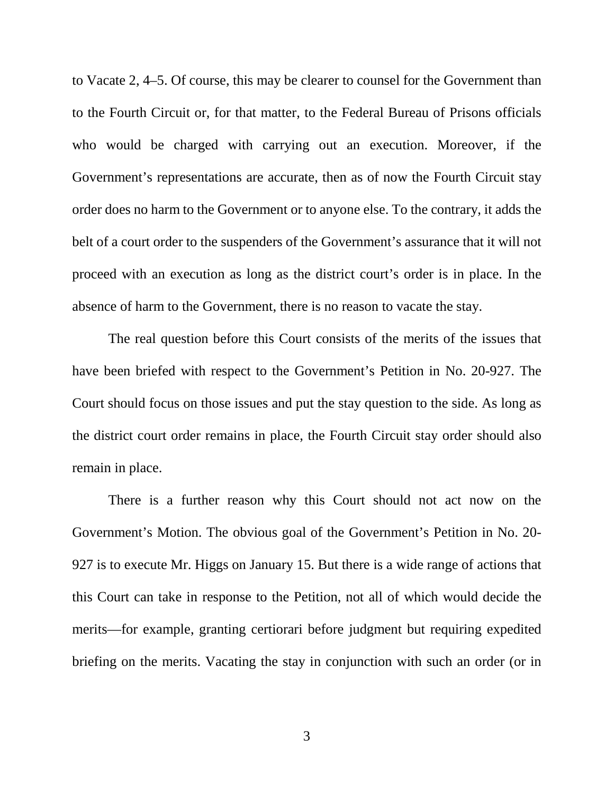to Vacate 2, 4–5. Of course, this may be clearer to counsel for the Government than to the Fourth Circuit or, for that matter, to the Federal Bureau of Prisons officials who would be charged with carrying out an execution. Moreover, if the Government's representations are accurate, then as of now the Fourth Circuit stay order does no harm to the Government or to anyone else. To the contrary, it adds the belt of a court order to the suspenders of the Government's assurance that it will not proceed with an execution as long as the district court's order is in place. In the absence of harm to the Government, there is no reason to vacate the stay.

The real question before this Court consists of the merits of the issues that have been briefed with respect to the Government's Petition in No. 20-927. The Court should focus on those issues and put the stay question to the side. As long as the district court order remains in place, the Fourth Circuit stay order should also remain in place.

There is a further reason why this Court should not act now on the Government's Motion. The obvious goal of the Government's Petition in No. 20- 927 is to execute Mr. Higgs on January 15. But there is a wide range of actions that this Court can take in response to the Petition, not all of which would decide the merits—for example, granting certiorari before judgment but requiring expedited briefing on the merits. Vacating the stay in conjunction with such an order (or in